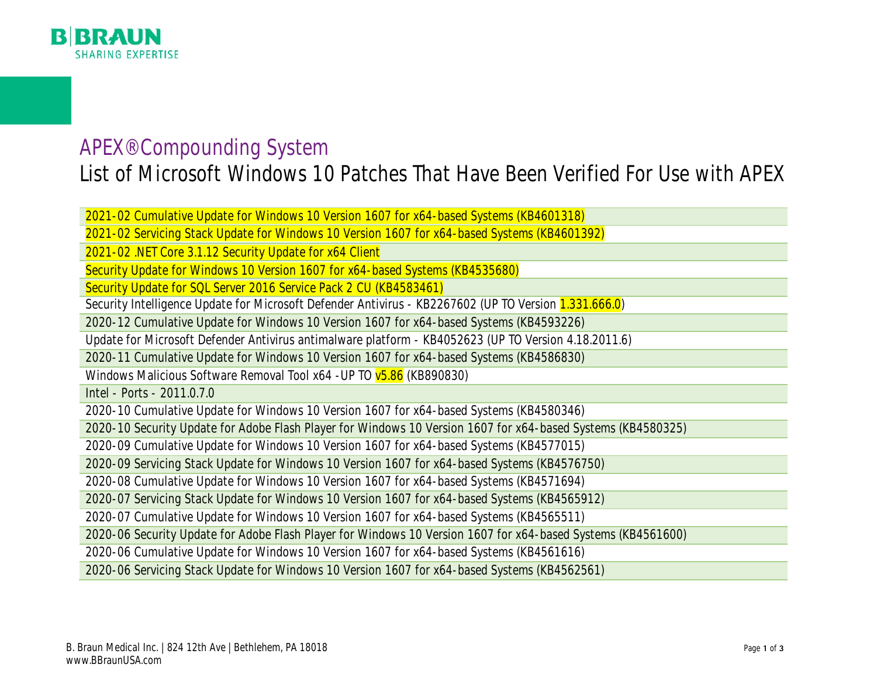

## APEX® Compounding System List of Microsoft Windows 10 Patches That Have Been Verified For Use with APEX

2021-02 Cumulative Update for Windows 10 Version 1607 for x64-based Systems (KB4601318) 2021-02 Servicing Stack Update for Windows 10 Version 1607 for x64-based Systems (KB4601392) 2021-02 .NET Core 3.1.12 Security Update for x64 Client Security Update for Windows 10 Version 1607 for x64-based Systems (KB4535680) Security Update for SQL Server 2016 Service Pack 2 CU (KB4583461) Security Intelligence Update for Microsoft Defender Antivirus - KB2267602 (UP TO Version 1.331.666.0) 2020-12 Cumulative Update for Windows 10 Version 1607 for x64-based Systems (KB4593226) Update for Microsoft Defender Antivirus antimalware platform - KB4052623 (UP TO Version 4.18.2011.6) 2020-11 Cumulative Update for Windows 10 Version 1607 for x64-based Systems (KB4586830) Windows Malicious Software Removal Tool x64 - UP TO v5.86 (KB890830) Intel - Ports - 2011.0.7.0 2020-10 Cumulative Update for Windows 10 Version 1607 for x64-based Systems (KB4580346) 2020-10 Security Update for Adobe Flash Player for Windows 10 Version 1607 for x64-based Systems (KB4580325) 2020-09 Cumulative Update for Windows 10 Version 1607 for x64-based Systems (KB4577015) 2020-09 Servicing Stack Update for Windows 10 Version 1607 for x64-based Systems (KB4576750) 2020-08 Cumulative Update for Windows 10 Version 1607 for x64-based Systems (KB4571694) 2020-07 Servicing Stack Update for Windows 10 Version 1607 for x64-based Systems (KB4565912) 2020-07 Cumulative Update for Windows 10 Version 1607 for x64-based Systems (KB4565511) 2020-06 Security Update for Adobe Flash Player for Windows 10 Version 1607 for x64-based Systems (KB4561600) 2020-06 Cumulative Update for Windows 10 Version 1607 for x64-based Systems (KB4561616) 2020-06 Servicing Stack Update for Windows 10 Version 1607 for x64-based Systems (KB4562561)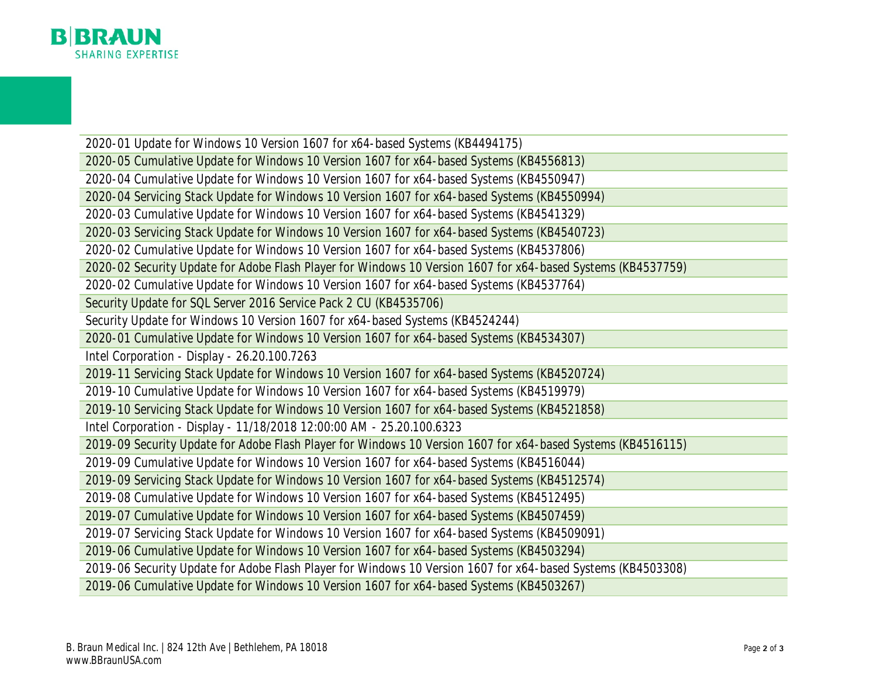

2020-01 Update for Windows 10 Version 1607 for x64-based Systems (KB4494175) 2020-05 Cumulative Update for Windows 10 Version 1607 for x64-based Systems (KB4556813)

2020-04 Cumulative Update for Windows 10 Version 1607 for x64-based Systems (KB4550947)

2020-04 Servicing Stack Update for Windows 10 Version 1607 for x64-based Systems (KB4550994)

2020-03 Cumulative Update for Windows 10 Version 1607 for x64-based Systems (KB4541329)

2020-03 Servicing Stack Update for Windows 10 Version 1607 for x64-based Systems (KB4540723)

2020-02 Cumulative Update for Windows 10 Version 1607 for x64-based Systems (KB4537806)

2020-02 Security Update for Adobe Flash Player for Windows 10 Version 1607 for x64-based Systems (KB4537759)

2020-02 Cumulative Update for Windows 10 Version 1607 for x64-based Systems (KB4537764)

Security Update for SQL Server 2016 Service Pack 2 CU (KB4535706)

Security Update for Windows 10 Version 1607 for x64-based Systems (KB4524244)

2020-01 Cumulative Update for Windows 10 Version 1607 for x64-based Systems (KB4534307)

Intel Corporation - Display - 26.20.100.7263

2019-11 Servicing Stack Update for Windows 10 Version 1607 for x64-based Systems (KB4520724)

2019-10 Cumulative Update for Windows 10 Version 1607 for x64-based Systems (KB4519979)

2019-10 Servicing Stack Update for Windows 10 Version 1607 for x64-based Systems (KB4521858)

Intel Corporation - Display - 11/18/2018 12:00:00 AM - 25.20.100.6323

2019-09 Security Update for Adobe Flash Player for Windows 10 Version 1607 for x64-based Systems (KB4516115)

2019-09 Cumulative Update for Windows 10 Version 1607 for x64-based Systems (KB4516044)

2019-09 Servicing Stack Update for Windows 10 Version 1607 for x64-based Systems (KB4512574)

2019-08 Cumulative Update for Windows 10 Version 1607 for x64-based Systems (KB4512495)

2019-07 Cumulative Update for Windows 10 Version 1607 for x64-based Systems (KB4507459)

2019-07 Servicing Stack Update for Windows 10 Version 1607 for x64-based Systems (KB4509091)

2019-06 Cumulative Update for Windows 10 Version 1607 for x64-based Systems (KB4503294)

2019-06 Security Update for Adobe Flash Player for Windows 10 Version 1607 for x64-based Systems (KB4503308)

2019-06 Cumulative Update for Windows 10 Version 1607 for x64-based Systems (KB4503267)